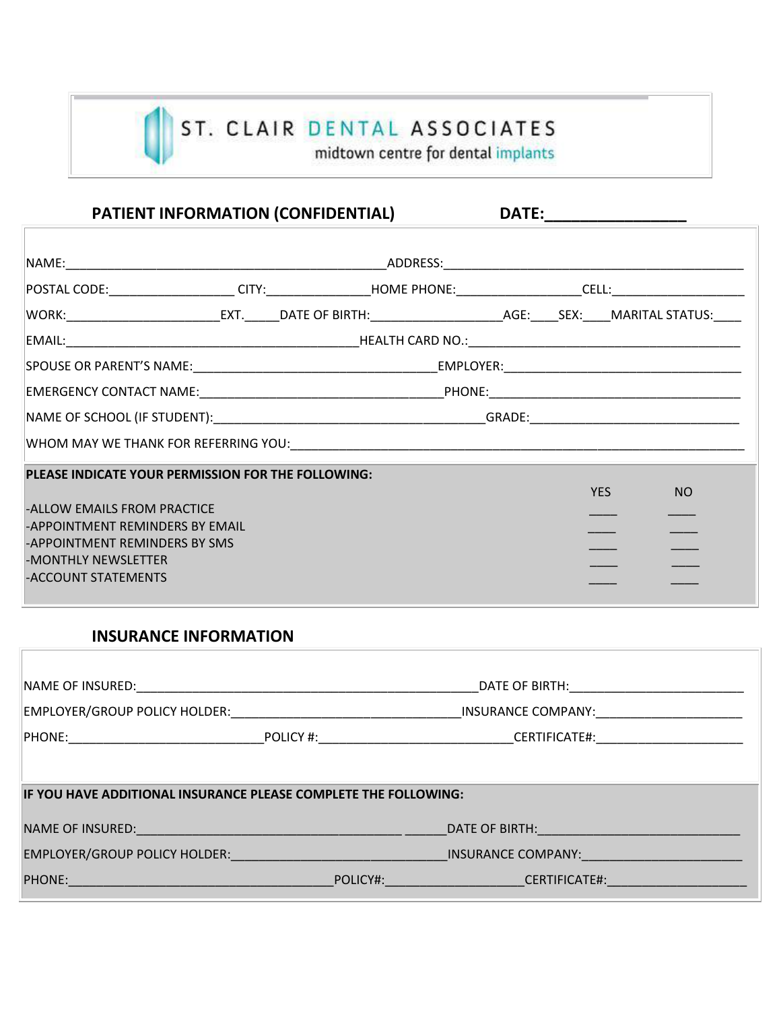# ST. CLAIR DENTAL ASSOCIATES<br>midtown centre for dental implants

# PATIENT INFORMATION (CONFIDENTIAL) DATE:

| PLEASE INDICATE YOUR PERMISSION FOR THE FOLLOWING:               |  |  |  |  |            |                 |
|------------------------------------------------------------------|--|--|--|--|------------|-----------------|
|                                                                  |  |  |  |  | <b>YES</b> | NO <sub>1</sub> |
| -ALLOW EMAILS FROM PRACTICE                                      |  |  |  |  |            |                 |
| -APPOINTMENT REMINDERS BY EMAIL<br>-APPOINTMENT REMINDERS BY SMS |  |  |  |  |            |                 |
| -MONTHLY NEWSLETTER                                              |  |  |  |  |            |                 |
| -ACCOUNT STATEMENTS                                              |  |  |  |  |            |                 |
|                                                                  |  |  |  |  |            |                 |

## **INSURANCE INFORMATION**

| NAME OF INSURED: NAME OF INSURED:                                                                                                                                                                                              |          | DATE OF BIRTH: The Second Second Second Second Second Second Second Second Second Second Second Second Second Second Second Second Second Second Second Second Second Second Second Second Second Second Second Second Second  |  |  |  |
|--------------------------------------------------------------------------------------------------------------------------------------------------------------------------------------------------------------------------------|----------|--------------------------------------------------------------------------------------------------------------------------------------------------------------------------------------------------------------------------------|--|--|--|
| EMPLOYER/GROUP POLICY HOLDER:                                                                                                                                                                                                  |          | INSURANCE COMPANY:                                                                                                                                                                                                             |  |  |  |
|                                                                                                                                                                                                                                |          | CERTIFICATE#:                                                                                                                                                                                                                  |  |  |  |
|                                                                                                                                                                                                                                |          |                                                                                                                                                                                                                                |  |  |  |
| IF YOU HAVE ADDITIONAL INSURANCE PLEASE COMPLETE THE FOLLOWING:                                                                                                                                                                |          |                                                                                                                                                                                                                                |  |  |  |
| NAME OF INSURED: WE ARREST A STATE OF THE STATE OF THE STATE OF THE STATE OF THE STATE OF THE STATE OF THE STATE OF THE STATE OF THE STATE OF THE STATE OF THE STATE OF THE STATE OF THE STATE OF THE STATE OF THE STATE OF TH |          | DATE OF BIRTH: And the state of the state of the state of the state of the state of the state of the state of the state of the state of the state of the state of the state of the state of the state of the state of the stat |  |  |  |
| EMPLOYER/GROUP POLICY HOLDER: NAMEL AND THE RESERVE TO A REPORT OF THE RESERVE TO A REPORT OF THE RESERVE TO A                                                                                                                 |          | INSURANCE COMPANY:                                                                                                                                                                                                             |  |  |  |
| <b>PHONE:</b>                                                                                                                                                                                                                  | POLICY#: | <b>CERTIFICATE#:</b>                                                                                                                                                                                                           |  |  |  |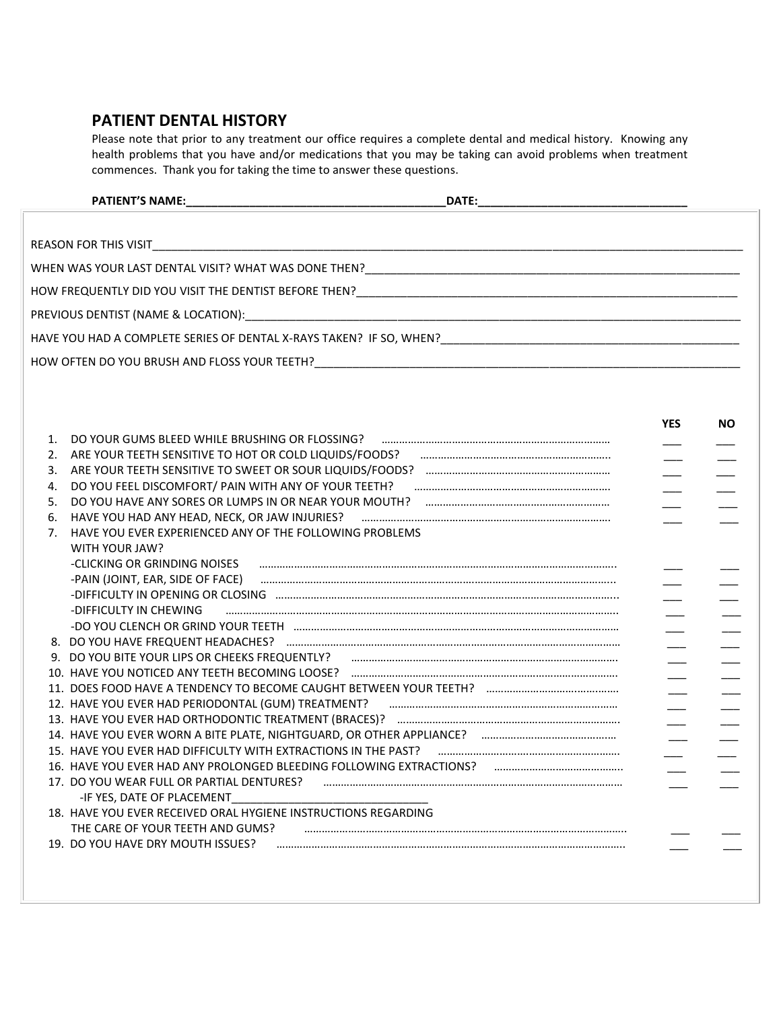#### **PATIENT DENTAL HISTORY**

Please note that prior to any treatment our office requires a complete dental and medical history. Knowing any health problems that you have and/or medications that you may be taking can avoid problems when treatment commences. Thank you for taking the time to answer these questions.

|    |                                                                                                                | <b>YES</b> | <b>NO</b> |
|----|----------------------------------------------------------------------------------------------------------------|------------|-----------|
| 1. | DO YOUR GUMS BLEED WHILE BRUSHING OR FLOSSING? FOR THE COMMON CONTROL CONTROL OF SUMMAN SUMMAN SUMMAN SUMMAN S |            |           |
|    | 2. ARE YOUR TEETH SENSITIVE TO HOT OR COLD LIQUIDS/FOODS?                                                      |            |           |
| 3. |                                                                                                                |            |           |
| 4. | DO YOU FEEL DISCOMFORT/ PAIN WITH ANY OF YOUR TEETH? <b>Fail and the contract of the COVID-</b>                |            |           |
| 5. |                                                                                                                |            |           |
| 6. |                                                                                                                |            |           |
| 7. | HAVE YOU EVER EXPERIENCED ANY OF THE FOLLOWING PROBLEMS                                                        |            |           |
|    | WITH YOUR JAW?                                                                                                 |            |           |
|    | -CLICKING OR GRINDING NOISES                                                                                   |            |           |
|    |                                                                                                                |            |           |
|    |                                                                                                                |            |           |
|    | -DIFFICULTY IN CHEWING                                                                                         |            |           |
|    |                                                                                                                |            |           |
|    |                                                                                                                |            |           |
|    |                                                                                                                |            |           |
|    |                                                                                                                |            |           |
|    |                                                                                                                |            |           |
|    |                                                                                                                |            |           |
|    |                                                                                                                |            |           |
|    |                                                                                                                |            |           |
|    |                                                                                                                |            |           |
|    | 16. HAVE YOU EVER HAD ANY PROLONGED BLEEDING FOLLOWING EXTRACTIONS?                                            |            |           |
|    | 17. DO YOU WEAR FULL OR PARTIAL DENTURES?                                                                      |            |           |
|    | -IF YES, DATE OF PLACEMENT                                                                                     |            |           |
|    | 18. HAVE YOU EVER RECEIVED ORAL HYGIENE INSTRUCTIONS REGARDING                                                 |            |           |
|    | THE CARE OF YOUR TEETH AND GUMS?                                                                               |            |           |
|    | 19. DO YOU HAVE DRY MOUTH ISSUES?                                                                              |            |           |
|    |                                                                                                                |            |           |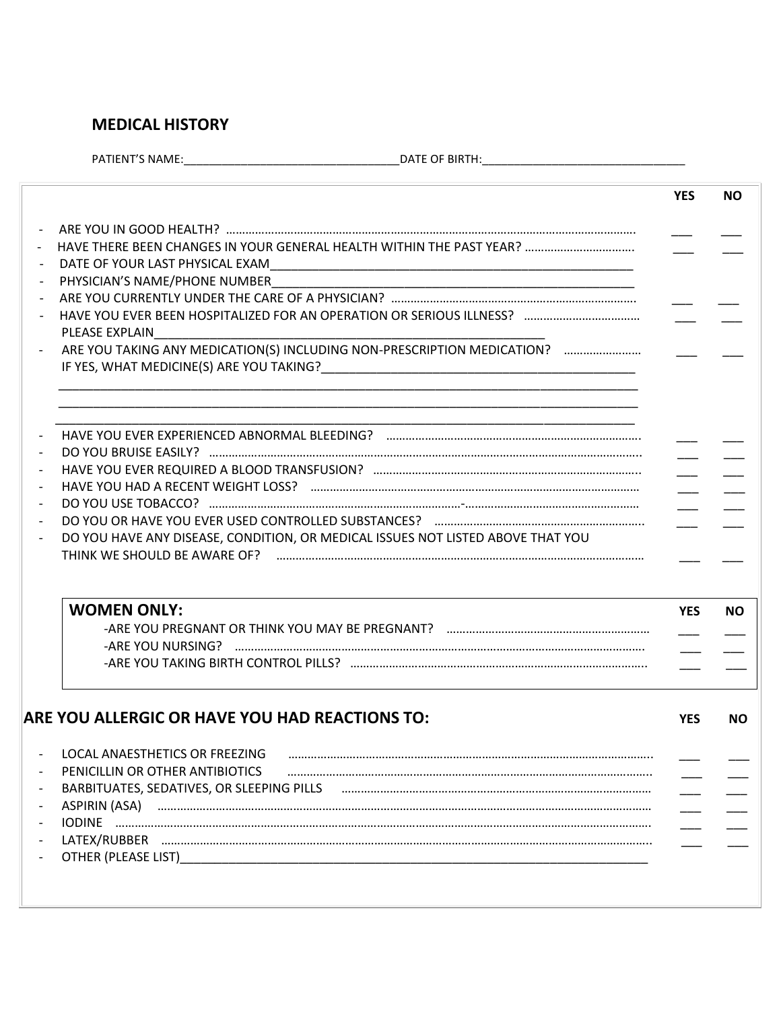## **MEDICAL HISTORY**

<u> 1980 - Johann Barbara, martxa alemani</u>ar a

PATIENT'S NAME:\_\_\_\_\_\_\_\_\_\_\_\_\_\_\_\_\_\_\_\_\_\_\_\_\_\_\_\_\_\_\_\_\_\_DATE OF BIRTH:\_\_\_\_\_\_\_\_\_\_\_\_\_\_\_\_\_\_\_\_\_\_\_\_\_\_\_\_\_\_\_\_

|                                                                                                                               | <b>YES</b>               |  |
|-------------------------------------------------------------------------------------------------------------------------------|--------------------------|--|
|                                                                                                                               |                          |  |
|                                                                                                                               |                          |  |
|                                                                                                                               |                          |  |
|                                                                                                                               |                          |  |
|                                                                                                                               |                          |  |
| PLEASE EXPLAIN                                                                                                                |                          |  |
| ARE YOU TAKING ANY MEDICATION(S) INCLUDING NON-PRESCRIPTION MEDICATION?                                                       |                          |  |
|                                                                                                                               |                          |  |
|                                                                                                                               |                          |  |
|                                                                                                                               |                          |  |
|                                                                                                                               |                          |  |
|                                                                                                                               |                          |  |
|                                                                                                                               | $\overline{\phantom{a}}$ |  |
|                                                                                                                               |                          |  |
| DO YOU HAVE ANY DISEASE, CONDITION, OR MEDICAL ISSUES NOT LISTED ABOVE THAT YOU                                               |                          |  |
|                                                                                                                               |                          |  |
| <b>WOMEN ONLY:</b>                                                                                                            | <b>YES</b>               |  |
|                                                                                                                               |                          |  |
|                                                                                                                               |                          |  |
|                                                                                                                               |                          |  |
| ARE YOU ALLERGIC OR HAVE YOU HAD REACTIONS TO:                                                                                | <b>YES</b>               |  |
|                                                                                                                               |                          |  |
| LOCAL ANAESTHETICS OR FREEZING FILLION AND CONTINUES AND THE RESIDENCE AND THE RESIDENCE AND A LOCAL ANAESTHETICS OR FREEZING |                          |  |
| PENICILLIN OR OTHER ANTIBIOTICS                                                                                               |                          |  |
| BARBITUATES, SEDATIVES, OR SLEEPING PILLS Farman and the content of the content of the content of the content o               |                          |  |
|                                                                                                                               |                          |  |
|                                                                                                                               |                          |  |
|                                                                                                                               |                          |  |